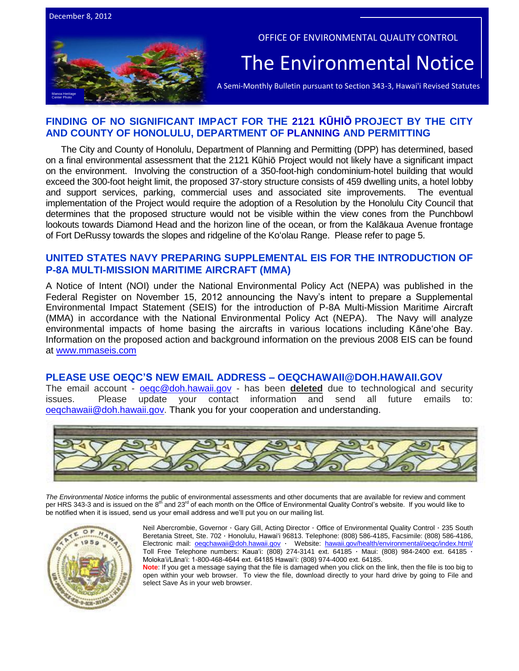



OFFICE OF ENVIRONMENTAL QUALITY CONTROL

## The Environmental Notice

A Semi-Monthly Bulletin pursuant to Section 343-3, Hawai'i Revised Statutes

## **FINDING OF NO SIGNIFICANT IMPACT FOR THE 2121 KŪHIŌ PROJECT BY THE CITY AND COUNTY OF HONOLULU, DEPARTMENT OF PLANNING AND PERMITTING**

The City and County of Honolulu, Department of Planning and Permitting (DPP) has determined, based on a final environmental assessment that the 2121 Kūhiō Project would not likely have a significant impact on the environment. Involving the construction of a 350-foot-high condominium-hotel building that would exceed the 300-foot height limit, the proposed 37-story structure consists of 459 dwelling units, a hotel lobby and support services, parking, commercial uses and associated site improvements. The eventual implementation of the Project would require the adoption of a Resolution by the Honolulu City Council that determines that the proposed structure would not be visible within the view cones from the Punchbowl lookouts towards Diamond Head and the horizon line of the ocean, or from the Kalākaua Avenue frontage of Fort DeRussy towards the slopes and ridgeline of the Ko'olau Range. Please refer to page 5.

## **UNITED STATES NAVY PREPARING SUPPLEMENTAL EIS FOR THE INTRODUCTION OF P-8A MULTI-MISSION MARITIME AIRCRAFT (MMA)**

A Notice of Intent (NOI) under the National Environmental Policy Act (NEPA) was published in the Federal Register on November 15, 2012 announcing the Navy's intent to prepare a Supplemental Environmental Impact Statement (SEIS) for the introduction of P-8A Multi-Mission Maritime Aircraft (MMA) in accordance with the National Environmental Policy Act (NEPA). The Navy will analyze environmental impacts of home basing the aircrafts in various locations including Kāne'ohe Bay. Information on the proposed action and background information on the previous 2008 EIS can be found at [www.mmaseis.com](http://www.mmaseis.com/)

### **PLEASE USE OEQC'S NEW EMAIL ADDRESS – OEQCHAWAII@DOH.HAWAII.GOV**

The email account - [oeqc@doh.hawaii.gov](mailto:oeqc@doh.hawaii.gov) - has been **deleted** due to technological and security issues. Please update your contact information and send all future emails to: oegchawaii@doh.hawaii.gov. Thank you for your cooperation and understanding.



The Environmental Notice informs the public of environmental assessments and other documents that are available for review and comment<br>per HRS 343-3 and is issued on the 8<sup>th</sup> and 23<sup>rd</sup> of each month on the Office of Envi be notified when it is issued, send us your email address and we'll put you on our mailing list.



Neil Abercrombie, Governor · Gary Gill, Acting Director · Office of Environmental Quality Control · 235 South Beretania Street, Ste. 702 · Honolulu, Hawai'i 96813. Telephone: (808) 586-4185, Facsimile: (808) 586-4186, Electronic mail: [oeqchawaii@doh.hawaii.gov](mailto:oeqchawaii@doh.hawaii.gov) · Website: [hawaii.gov/health/environmental/oeqc/index.html/](http://hawaii.gov/health/environmental/oeqc/index.html/) Toll Free Telephone numbers: Kauaʻi: (808) 274-3141 ext. 64185 · Maui: (808) 984-2400 ext. 64185 · Molokaʻi/Lānaʻi: 1-800-468-4644 ext. 64185 Hawaiʻi: (808) 974-4000 ext. 64185.

**Note**: If you get a message saying that the file is damaged when you click on the link, then the file is too big to open within your web browser. To view the file, download directly to your hard drive by going to File and select Save As in your web browser.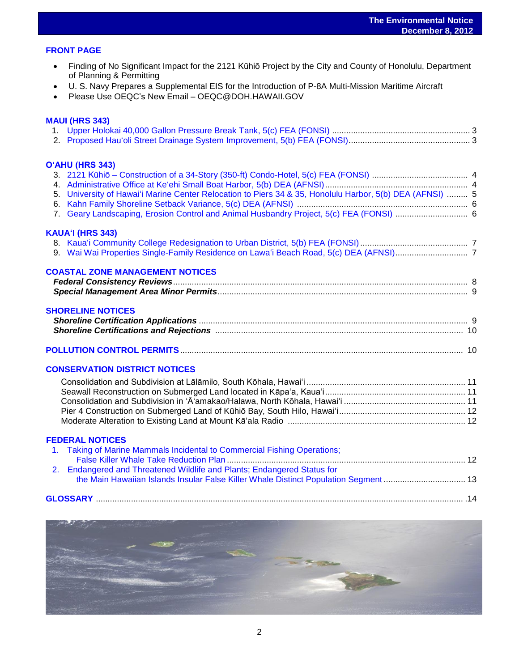### **FRONT PAGE**

 Finding of No Significant Impact for the 2121 Kūhiō Project by the City and County of Honolulu, Department of Planning & Permitting

- U. S. Navy Prepares a Supplemental EIS for the Introduction of P-8A Multi-Mission Maritime Aircraft
- Please Use OEQC's New Email OEQC@DOH.HAWAII.GOV

### **MAUI (HRS 343)**

| O'AHU (HRS 343)<br>5. University of Hawai'i Marine Center Relocation to Piers 34 & 35, Honolulu Harbor, 5(b) DEA (AFNSI)  5<br>7. Geary Landscaping, Erosion Control and Animal Husbandry Project, 5(c) FEA (FONSI)  6                                                                      |  |
|---------------------------------------------------------------------------------------------------------------------------------------------------------------------------------------------------------------------------------------------------------------------------------------------|--|
| KAUA'I (HRS 343)                                                                                                                                                                                                                                                                            |  |
| <b>COASTAL ZONE MANAGEMENT NOTICES</b>                                                                                                                                                                                                                                                      |  |
| <b>SHORELINE NOTICES</b>                                                                                                                                                                                                                                                                    |  |
|                                                                                                                                                                                                                                                                                             |  |
| <b>CONSERVATION DISTRICT NOTICES</b>                                                                                                                                                                                                                                                        |  |
| <b>FEDERAL NOTICES</b><br>1. Taking of Marine Mammals Incidental to Commercial Fishing Operations;<br><b>Endangered and Threatened Wildlife and Plants; Endangered Status for</b><br>2 <sup>1</sup><br>the Main Hawaiian Islands Insular False Killer Whale Distinct Population Segment  13 |  |
|                                                                                                                                                                                                                                                                                             |  |
|                                                                                                                                                                                                                                                                                             |  |

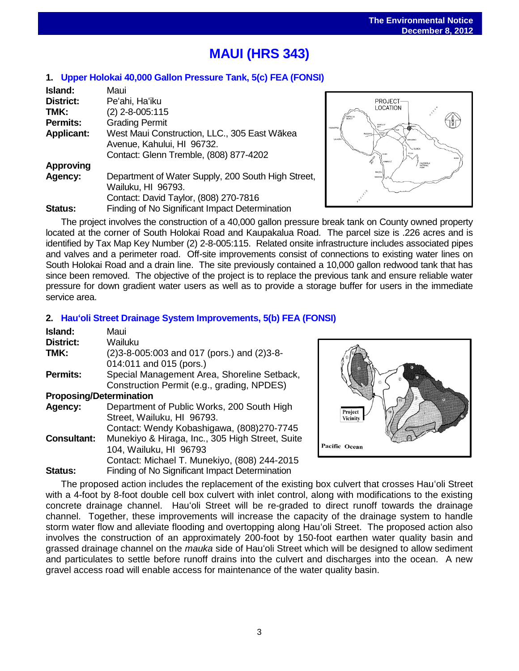## l, **MAUI (HRS 343)**

## **1. [Upper Holokai 40,000 Gallon Pressure Tank, 5\(c\)](http://oeqc.doh.hawaii.gov/Shared%20Documents/EA_and_EIS_Online_Library/Maui/2010s/2012-12-08-FEA-5C-Upper-Holokai-40000-Gallon-Pressure-Break-Tank.pdf) FEA (FONSI)**

| Island:           | Maui                                               |
|-------------------|----------------------------------------------------|
| District:         | Pe'ahi, Ha'iku                                     |
| TMK:              | (2) 2-8-005:115                                    |
| <b>Permits:</b>   | <b>Grading Permit</b>                              |
| <b>Applicant:</b> | West Maui Construction, LLC., 305 East Wākea       |
|                   | Avenue, Kahului, HI 96732.                         |
|                   | Contact: Glenn Tremble, (808) 877-4202             |
| <b>Approving</b>  |                                                    |
| Agency:           | Department of Water Supply, 200 South High Street, |
|                   | Wailuku, HI 96793.                                 |
|                   | Contact: David Taylor, (808) 270-7816              |
| <b>Status:</b>    | Finding of No Significant Impact Determination     |



The project involves the construction of a 40,000 gallon pressure break tank on County owned property located at the corner of South Holokai Road and Kaupakalua Road. The parcel size is .226 acres and is identified by Tax Map Key Number (2) 2-8-005:115. Related onsite infrastructure includes associated pipes and valves and a perimeter road. Off-site improvements consist of connections to existing water lines on South Holokai Road and a drain line. The site previously contained a 10,000 gallon redwood tank that has since been removed. The objective of the project is to replace the previous tank and ensure reliable water pressure for down gradient water users as well as to provide a storage buffer for users in the immediate service area.

## **2. [Hau'oli Street Drainage System Improvements, 5\(b\)](http://oeqc.doh.hawaii.gov/Shared%20Documents/EA_and_EIS_Online_Library/Maui/2010s/2012-12-08-FEA-5B-Hauoli-Street-Drainage-System-Improvements.pdf) FEA (FONSI)**

| Island:                        | Maui                                                          |
|--------------------------------|---------------------------------------------------------------|
| <b>District:</b>               | Wailuku                                                       |
| TMK:                           | $(2)3 - 8 - 005:003$ and 017 (pors.) and $(2)3 - 8 - 005:003$ |
|                                | 014:011 and 015 (pors.)                                       |
| <b>Permits:</b>                | Special Management Area, Shoreline Setback,                   |
|                                | Construction Permit (e.g., grading, NPDES)                    |
| <b>Proposing/Determination</b> |                                                               |
| Agency:                        | Department of Public Works, 200 South High                    |
|                                | Street, Wailuku, HI 96793.                                    |
|                                | Contact: Wendy Kobashigawa, (808)270-7745                     |
| <b>Consultant:</b>             | Munekiyo & Hiraga, Inc., 305 High Street, Suite               |
|                                | 104, Wailuku, HI 96793                                        |
|                                | Contact: Michael T. Munekiyo, (808) 244-2015                  |
| Status:                        | Finding of No Significant Impact Determination                |



The proposed action includes the replacement of the existing box culvert that crosses Hau'oli Street with a 4-foot by 8-foot double cell box culvert with inlet control, along with modifications to the existing concrete drainage channel. Hau'oli Street will be re-graded to direct runoff towards the drainage channel. Together, these improvements will increase the capacity of the drainage system to handle storm water flow and alleviate flooding and overtopping along Hau'oli Street. The proposed action also involves the construction of an approximately 200-foot by 150-foot earthen water quality basin and grassed drainage channel on the *mauka* side of Hau'oli Street which will be designed to allow sediment and particulates to settle before runoff drains into the culvert and discharges into the ocean. A new gravel access road will enable access for maintenance of the water quality basin.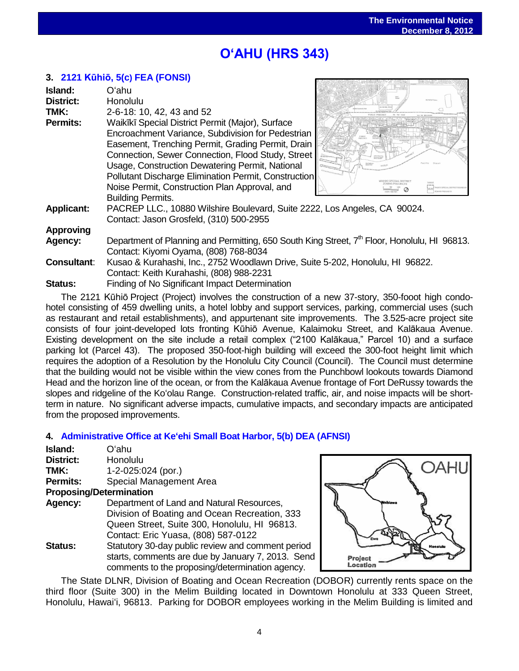## ֖֖֧֧֧֚֚֚֚֚֚֚֚֚֚֚֚֚֚֚֚֚֚֚֚֬֡֡֡֡֬֝֬֝֓֡֬֝֓֡֬ **OʻAHU (HRS 343)**

## **3. [2121 Kūhiō, 5\(c](http://oeqc.doh.hawaii.gov/Shared%20Documents/EA_and_EIS_Online_Library/Oahu/2010s/2012-12-08-FEA-5C-2121-Kuhio.pdf)) FEA (FONSI)**

| Island:<br><b>District:</b> | Oʻahu<br>Honolulu                                                                                        |  |
|-----------------------------|----------------------------------------------------------------------------------------------------------|--|
| TMK:                        | 2-6-18: 10, 42, 43 and 52                                                                                |  |
| <b>Permits:</b>             | Waikīkī Special District Permit (Major), Surface                                                         |  |
|                             | Encroachment Variance, Subdivision for Pedestrian                                                        |  |
|                             | Easement, Trenching Permit, Grading Permit, Drain                                                        |  |
|                             | Connection, Sewer Connection, Flood Study, Street                                                        |  |
|                             | Usage, Construction Dewatering Permit, National                                                          |  |
|                             | Pollutant Discharge Elimination Permit, Construction                                                     |  |
|                             | Noise Permit, Construction Plan Approval, and                                                            |  |
|                             | <b>Building Permits.</b>                                                                                 |  |
| <b>Applicant:</b>           | PACREP LLC., 10880 Wilshire Boulevard, Suite 2222, Los Angeles, CA 90024.                                |  |
|                             | Contact: Jason Grosfeld, (310) 500-2955                                                                  |  |
| <b>Approving</b>            |                                                                                                          |  |
| Agency:                     | Department of Planning and Permitting, 650 South King Street, 7 <sup>th</sup> Floor, Honolulu, HI 96813. |  |
|                             | Contact: Kiyomi Oyama, (808) 768-8034                                                                    |  |
| <b>Consultant:</b>          | Kusao & Kurahashi, Inc., 2752 Woodlawn Drive, Suite 5-202, Honolulu, HI 96822.                           |  |
|                             | Contact: Keith Kurahashi, (808) 988-2231                                                                 |  |
| <b>Status:</b>              | Finding of No Significant Impact Determination                                                           |  |
|                             |                                                                                                          |  |

The 2121 Kūhiō Project (Project) involves the construction of a new 37-story, 350-fooot high condohotel consisting of 459 dwelling units, a hotel lobby and support services, parking, commercial uses (such as restaurant and retail establishments), and appurtenant site improvements. The 3.525-acre project site consists of four joint-developed lots fronting Kūhiō Avenue, Kalaimoku Street, and Kalākaua Avenue. Existing development on the site include a retail complex ("2100 Kalākaua," Parcel 10) and a surface parking lot (Parcel 43). The proposed 350-foot-high building will exceed the 300-foot height limit which requires the adoption of a Resolution by the Honolulu City Council (Council). The Council must determine that the building would not be visible within the view cones from the Punchbowl lookouts towards Diamond Head and the horizon line of the ocean, or from the Kalākaua Avenue frontage of Fort DeRussy towards the slopes and ridgeline of the Ko'olau Range. Construction-related traffic, air, and noise impacts will be shortterm in nature. No significant adverse impacts, cumulative impacts, and secondary impacts are anticipated from the proposed improvements.

## **4. [Administrative Office at Ke'ehi Small Boat Harbor, 5\(b\)](http://oeqc.doh.hawaii.gov/Shared%20Documents/EA_and_EIS_Online_Library/Oahu/2010s/2012-12-08-DEA-5B-Administrative-Office-at-Keehi-Small-Boat-Harbor.pdf) DEA (AFNSI)**

| Island:                        | Oʻahu                                             |
|--------------------------------|---------------------------------------------------|
| District:                      | Honolulu                                          |
| TMK:                           | $1-2-025:024$ (por.)                              |
| <b>Permits:</b>                | Special Management Area                           |
| <b>Proposing/Determination</b> |                                                   |
| Agency:                        | Department of Land and Natural Resources,         |
|                                | Division of Boating and Ocean Recreation, 333     |
|                                | Queen Street, Suite 300, Honolulu, HI 96813.      |
|                                | Contact: Eric Yuasa, (808) 587-0122               |
| Status:                        | Statutory 30-day public review and comment period |
|                                | starts, comments are due by January 7, 2013. Send |
|                                | comments to the proposing/determination agency.   |

)AHI Project Location

The State DLNR, Division of Boating and Ocean Recreation (DOBOR) currently rents space on the third floor (Suite 300) in the Melim Building located in Downtown Honolulu at 333 Queen Street, Honolulu, Hawai'i, 96813. Parking for DOBOR employees working in the Melim Building is limited and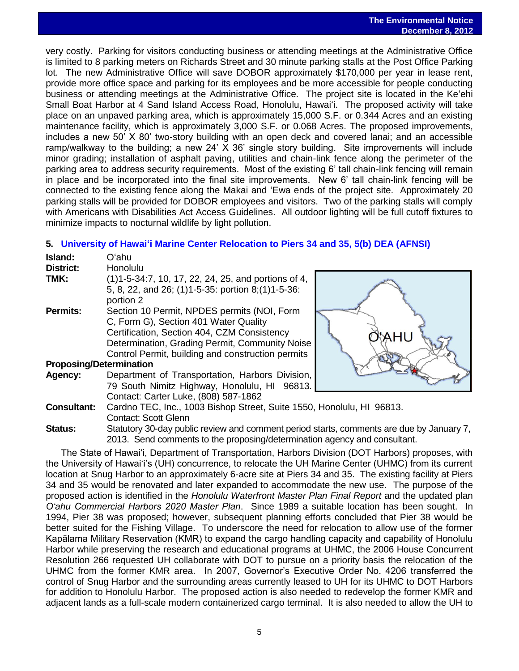very costly. Parking for visitors conducting business or attending meetings at the Administrative Office is limited to 8 parking meters on Richards Street and 30 minute parking stalls at the Post Office Parking lot. The new Administrative Office will save DOBOR approximately \$170,000 per year in lease rent, provide more office space and parking for its employees and be more accessible for people conducting business or attending meetings at the Administrative Office. The project site is located in the Ke'ehi Small Boat Harbor at 4 Sand Island Access Road, Honolulu, Hawai'i. The proposed activity will take place on an unpaved parking area, which is approximately 15,000 S.F. or 0.344 Acres and an existing maintenance facility, which is approximately 3,000 S.F. or 0.068 Acres. The proposed improvements, includes a new 50' X 80' two-story building with an open deck and covered lanai; and an accessible ramp/walkway to the building; a new 24' X 36' single story building. Site improvements will include minor grading; installation of asphalt paving, utilities and chain-link fence along the perimeter of the parking area to address security requirements. Most of the existing 6' tall chain-link fencing will remain in place and be incorporated into the final site improvements. New 6' tall chain-link fencing will be connected to the existing fence along the Makai and 'Ewa ends of the project site. Approximately 20 parking stalls will be provided for DOBOR employees and visitors. Two of the parking stalls will comply with Americans with Disabilities Act Access Guidelines. All outdoor lighting will be full cutoff fixtures to minimize impacts to nocturnal wildlife by light pollution.

## **5. [University of Hawai'i Marine Center Relocation to Piers 34 and 35, 5\(b\) DEA \(AFNSI\)](http://oeqc.doh.hawaii.gov/Shared%20Documents/EA_and_EIS_Online_Library/Oahu/2010s/2012-12-08-DEA-5B-University-Hawaii-Marine-Center-Relocation-Piers-34-and-35-Honolulu-Harbor.pdf)**

| Island:          | Oʻahu                                                                                                                   |
|------------------|-------------------------------------------------------------------------------------------------------------------------|
| <b>District:</b> | Honolulu                                                                                                                |
| TMK:             | (1) 1-5-34:7, 10, 17, 22, 24, 25, and portions of 4,<br>5, 8, 22, and 26; (1)1-5-35: portion 8; (1)1-5-36:<br>portion 2 |
| <b>Permits:</b>  | Section 10 Permit, NPDES permits (NOI, Form                                                                             |

C, Form G), Section 401 Water Quality Certification, Section 404, CZM Consistency Determination, Grading Permit, Community Noise Control Permit, building and construction permits



**Proposing/Determination**

- **Agency:** Department of Transportation, Harbors Division, 79 South Nimitz Highway, Honolulu, HI 96813. Contact: Carter Luke, (808) 587-1862
- **Consultant:** Cardno TEC, Inc., 1003 Bishop Street, Suite 1550, Honolulu, HI 96813. Contact: Scott Glenn

**Status:** Statutory 30-day public review and comment period starts, comments are due by January 7, 2013. Send comments to the proposing/determination agency and consultant.

The State of Hawai'i, Department of Transportation, Harbors Division (DOT Harbors) proposes, with the University of Hawai'i's (UH) concurrence, to relocate the UH Marine Center (UHMC) from its current location at Snug Harbor to an approximately 6-acre site at Piers 34 and 35. The existing facility at Piers 34 and 35 would be renovated and later expanded to accommodate the new use. The purpose of the proposed action is identified in the *Honolulu Waterfront Master Plan Final Report* and the updated plan *O'ahu Commercial Harbors 2020 Master Plan*. Since 1989 a suitable location has been sought. In 1994, Pier 38 was proposed; however, subsequent planning efforts concluded that Pier 38 would be better suited for the Fishing Village. To underscore the need for relocation to allow use of the former Kapālama Military Reservation (KMR) to expand the cargo handling capacity and capability of Honolulu Harbor while preserving the research and educational programs at UHMC, the 2006 House Concurrent Resolution 266 requested UH collaborate with DOT to pursue on a priority basis the relocation of the UHMC from the former KMR area. In 2007, Governor's Executive Order No. 4206 transferred the control of Snug Harbor and the surrounding areas currently leased to UH for its UHMC to DOT Harbors for addition to Honolulu Harbor. The proposed action is also needed to redevelop the former KMR and adjacent lands as a full-scale modern containerized cargo terminal. It is also needed to allow the UH to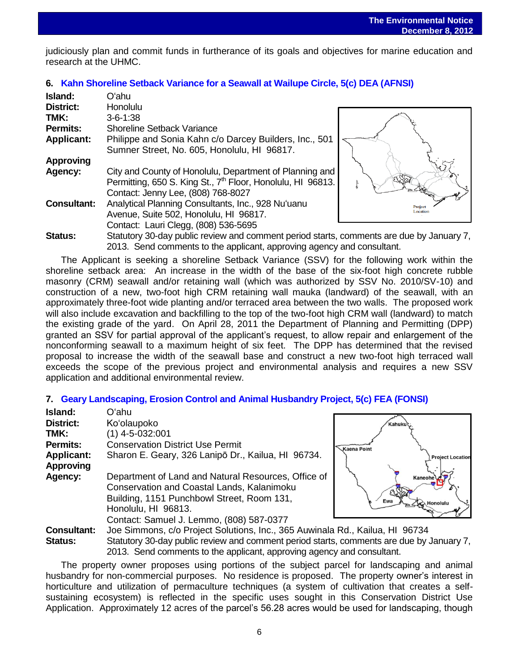**December 6, 2012**<br>judiciously plan and commit funds in furtherance of its goals and objectives for marine education and research at the UHMC.

## **6. Kahn Shoreline Setback Variance [for a Seawall at Wailupe Circle, 5\(c\)](http://oeqc.doh.hawaii.gov/Shared%20Documents/EA_and_EIS_Online_Library/Oahu/2010s/2012-12-08-DEA-5C-Kahn-Family-Shoreline-Setback-Variance.pdf) DEA (AFNSI)**

| Island:            | Oʻahu                                                                                    |          |
|--------------------|------------------------------------------------------------------------------------------|----------|
| <b>District:</b>   | Honolulu                                                                                 |          |
| TMK:               | $3 - 6 - 1:38$                                                                           |          |
| <b>Permits:</b>    | <b>Shoreline Setback Variance</b>                                                        |          |
| <b>Applicant:</b>  | Philippe and Sonia Kahn c/o Darcey Builders, Inc., 501                                   |          |
|                    | Sumner Street, No. 605, Honolulu, HI 96817.                                              |          |
| <b>Approving</b>   |                                                                                          |          |
| Agency:            | City and County of Honolulu, Department of Planning and                                  |          |
|                    | Permitting, 650 S. King St., 7 <sup>th</sup> Floor, Honolulu, HI 96813.                  |          |
|                    | Contact: Jenny Lee, (808) 768-8027                                                       |          |
| <b>Consultant:</b> | Analytical Planning Consultants, Inc., 928 Nu'uanu                                       | Proiect  |
|                    | Avenue, Suite 502, Honolulu, HI 96817.                                                   | Location |
|                    | Contact: Lauri Clegg, (808) 536-5695                                                     |          |
| <b>Status:</b>     | Statutory 30-day public review and comment period starts, comments are due by January 7, |          |
|                    | 2013. Send comments to the applicant, approving agency and consultant.                   |          |

The Applicant is seeking a shoreline Setback Variance (SSV) for the following work within the shoreline setback area: An increase in the width of the base of the six-foot high concrete rubble masonry (CRM) seawall and/or retaining wall (which was authorized by SSV No. 2010/SV-10) and construction of a new, two-foot high CRM retaining wall mauka (landward) of the seawall, with an approximately three-foot wide planting and/or terraced area between the two walls. The proposed work will also include excavation and backfilling to the top of the two-foot high CRM wall (landward) to match the existing grade of the yard. On April 28, 2011 the Department of Planning and Permitting (DPP) granted an SSV for partial approval of the applicant's request, to allow repair and enlargement of the nonconforming seawall to a maximum height of six feet. The DPP has determined that the revised proposal to increase the width of the seawall base and construct a new two-foot high terraced wall exceeds the scope of the previous project and environmental analysis and requires a new SSV application and additional environmental review.

### **7. [Geary Landscaping, Erosion Control and Animal Husbandry Project, 5\(c\)](http://oeqc.doh.hawaii.gov/Shared%20Documents/EA_and_EIS_Online_Library/Oahu/2010s/2012-12-08-FEA-5C-Geary-Landscaping-Erosion-Control-and-Animal-Husbandry-Kaneohe.pdf) FEA (FONSI)**

| Island:                               | Oʻahu                                                                                                                                                                  |          |
|---------------------------------------|------------------------------------------------------------------------------------------------------------------------------------------------------------------------|----------|
| District:                             | Ko'olaupoko                                                                                                                                                            |          |
| TMK:                                  | $(1)$ 4-5-032:001                                                                                                                                                      |          |
| <b>Permits:</b>                       | <b>Conservation District Use Permit</b>                                                                                                                                | <b>K</b> |
| <b>Applicant:</b><br><b>Approving</b> | Sharon E. Geary, 326 Lanipō Dr., Kailua, HI 96734.                                                                                                                     |          |
| Agency:                               | Department of Land and Natural Resources, Office of<br>Conservation and Coastal Lands, Kalanimoku<br>Building, 1151 Punchbowl Street, Room 131,<br>Honolulu, HI 96813. |          |
|                                       | Contact: Samuel J. Lemmo, (808) 587-0377                                                                                                                               |          |
| <b>Consultant:</b>                    | Joe Simmons, c/o Project Solutions, Inc., 365 Auwinala Ro                                                                                                              |          |
| Statue:                               | Statutory 30-day public review and comment period starts, co                                                                                                           |          |



**J., Kailua, HI 96734** day public review and comment period starts, comments are due by January 7. 2013. Send comments to the applicant, approving agency and consultant.

The property owner proposes using portions of the subject parcel for landscaping and animal husbandry for non-commercial purposes. No residence is proposed. The property owner's interest in horticulture and utilization of permaculture techniques (a system of cultivation that creates a selfsustaining ecosystem) is reflected in the specific uses sought in this Conservation District Use Application. Approximately 12 acres of the parcel's 56.28 acres would be used for landscaping, though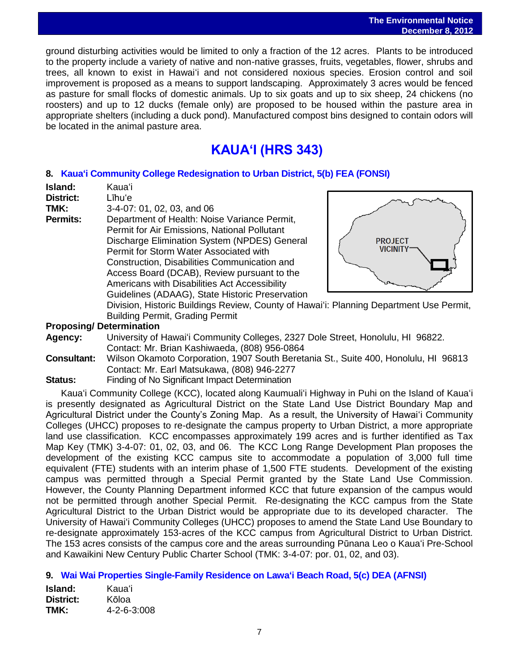ground disturbing activities would be limited to only a fraction of the 12 acres. Plants to be introduced to the property include a variety of native and non-native grasses, fruits, vegetables, flower, shrubs and trees, all known to exist in Hawaiʻi and not considered noxious species. Erosion control and soil improvement is proposed as a means to support landscaping. Approximately 3 acres would be fenced as pasture for small flocks of domestic animals. Up to six goats and up to six sheep, 24 chickens (no roosters) and up to 12 ducks (female only) are proposed to be housed within the pasture area in appropriate shelters (including a duck pond). Manufactured compost bins designed to contain odors will be located in the animal pasture area.

## **KAUAʻI (HRS 343)**

## **8. [Kaua'i Community College Redesignation to Urban District, 5\(b\)](http://oeqc.doh.hawaii.gov/Shared%20Documents/EA_and_EIS_Online_Library/Kauai/2010s/2012-12-08-FEA-5B-Kauai-Community-College-Urban-District-Redesignation.pdf) FEA (FONSI)**

**Island:** Kaua'i **District:** Līhu'e

**TMK:** 3-4-07: 01, 02, 03, and 06

**Permits:** Department of Health: Noise Variance Permit, Permit for Air Emissions, National Pollutant Discharge Elimination System (NPDES) General Permit for Storm Water Associated with Construction, Disabilities Communication and Access Board (DCAB), Review pursuant to the Americans with Disabilities Act Accessibility Guidelines (ADAAG), State Historic Preservation



Division, Historic Buildings Review, County of Hawai'i: Planning Department Use Permit, Building Permit, Grading Permit

## **Proposing/ Determination**

- **Agency:** University of Hawai'i Community Colleges, 2327 Dole Street, Honolulu, HI 96822. Contact: Mr. Brian Kashiwaeda, (808) 956-0864
- **Consultant:** Wilson Okamoto Corporation, 1907 South Beretania St., Suite 400, Honolulu, HI 96813 Contact: Mr. Earl Matsukawa, (808) 946-2277
- **Status:** Finding of No Significant Impact Determination

Kaua'i Community College (KCC), located along Kaumuali'i Highway in Puhi on the Island of Kaua'i is presently designated as Agricultural District on the State Land Use District Boundary Map and Agricultural District under the County's Zoning Map. As a result, the University of Hawai'i Community Colleges (UHCC) proposes to re-designate the campus property to Urban District, a more appropriate land use classification. KCC encompasses approximately 199 acres and is further identified as Tax Map Key (TMK) 3-4-07: 01, 02, 03, and 06. The KCC Long Range Development Plan proposes the development of the existing KCC campus site to accommodate a population of 3,000 full time equivalent (FTE) students with an interim phase of 1,500 FTE students. Development of the existing campus was permitted through a Special Permit granted by the State Land Use Commission. However, the County Planning Department informed KCC that future expansion of the campus would not be permitted through another Special Permit. Re-designating the KCC campus from the State Agricultural District to the Urban District would be appropriate due to its developed character. The University of Hawai'i Community Colleges (UHCC) proposes to amend the State Land Use Boundary to re-designate approximately 153-acres of the KCC campus from Agricultural District to Urban District. The 153 acres consists of the campus core and the areas surrounding Pūnana Leo o Kaua'i Pre-School and Kawaikini New Century Public Charter School (TMK: 3-4-07: por. 01, 02, and 03).

## **9. [Wai Wai Properties Single-Family Residence on Lawa'i Beach Road, 5\(c\)](http://oeqc.doh.hawaii.gov/Shared%20Documents/EA_and_EIS_Online_Library/Kauai/2010s/2012-12-08-DEA-5C-Wai-Wai-Properties-Single-Family-Residence-Lawai-Beach-Road-Kauai.pdf) DEA (AFNSI)**

**Island:** Kaua'i **District:** Kōloa **TMK:** 4-2-6-3:008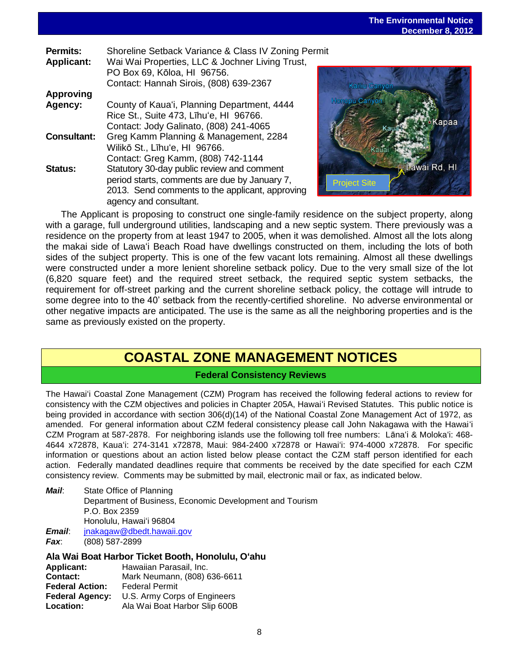| Shoreline Setback Variance & Class IV Zoning Permit<br>Wai Wai Properties, LLC & Jochner Living Trust,<br>PO Box 69, Kōloa, HI 96756.<br>Contact: Hannah Sirois, (808) 639-2367 |                                    |
|---------------------------------------------------------------------------------------------------------------------------------------------------------------------------------|------------------------------------|
|                                                                                                                                                                                 |                                    |
| County of Kaua'i, Planning Department, 4444<br>Rice St., Suite 473, Līhu'e, HI 96766.<br>Contact: Jody Galinato, (808) 241-4065                                                 |                                    |
| Greg Kamm Planning & Management, 2284<br>Wilikō St., Līhu'e, HI 96766.                                                                                                          |                                    |
| Statutory 30-day public review and comment<br>period starts, comments are due by January 7,<br>2013. Send comments to the applicant, approving<br>agency and consultant.        |                                    |
|                                                                                                                                                                                 | Contact: Greg Kamm, (808) 742-1144 |



The Applicant is proposing to construct one single-family residence on the subject property, along with a garage, full underground utilities, landscaping and a new septic system. There previously was a residence on the property from at least 1947 to 2005, when it was demolished. Almost all the lots along the makai side of Lawa'i Beach Road have dwellings constructed on them, including the lots of both sides of the subject property. This is one of the few vacant lots remaining. Almost all these dwellings were constructed under a more lenient shoreline setback policy. Due to the very small size of the lot (6,820 square feet) and the required street setback, the required septic system setbacks, the requirement for off-street parking and the current shoreline setback policy, the cottage will intrude to some degree into to the 40' setback from the recently-certified shoreline. No adverse environmental or other negative impacts are anticipated. The use is the same as all the neighboring properties and is the same as previously existed on the property.

## **COASTAL ZONE MANAGEMENT NOTICES**

## **Federal Consistency Reviews**

The Hawai'i Coastal Zone Management (CZM) Program has received the following federal actions to review for consistency with the CZM objectives and policies in Chapter 205A, Hawai'i Revised Statutes. This public notice is being provided in accordance with section 306(d)(14) of the National Coastal Zone Management Act of 1972, as amended. For general information about CZM federal consistency please call John Nakagawa with the Hawai'i CZM Program at 587-2878. For neighboring islands use the following toll free numbers: Lāna'i & Moloka'i: 468- 4644 x72878, Kaua'i: 274-3141 x72878, Maui: 984-2400 x72878 or Hawai'i: 974-4000 x72878. For specific information or questions about an action listed below please contact the CZM staff person identified for each action. Federally mandated deadlines require that comments be received by the date specified for each CZM consistency review. Comments may be submitted by mail, electronic mail or fax, as indicated below.

| Mail:                | State Office of Planning                                 |
|----------------------|----------------------------------------------------------|
|                      | Department of Business, Economic Development and Tourism |
|                      | P.O. Box 2359                                            |
|                      | Honolulu, Hawai'i 96804                                  |
| <i><b>Email:</b></i> | jnakagaw@dbedt.hawaii.gov                                |
| Fax:                 | (808) 587-2899                                           |

### **Ala Wai Boat Harbor Ticket Booth, Honolulu, O'ahu**

| <b>Applicant:</b>      | Hawaiian Parasail, Inc.       |  |  |
|------------------------|-------------------------------|--|--|
| Contact:               | Mark Neumann, (808) 636-6611  |  |  |
| <b>Federal Action:</b> | <b>Federal Permit</b>         |  |  |
| <b>Federal Agency:</b> | U.S. Army Corps of Engineers  |  |  |
| <b>Location:</b>       | Ala Wai Boat Harbor Slip 600B |  |  |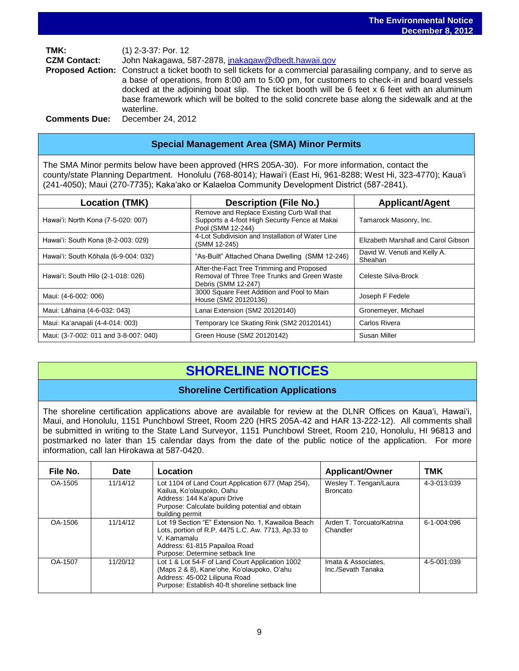**TMK:** (1) 2-3-37: Por. 12 **CZM Contact:** John Nakagawa, 587-2878, [jnakagaw@dbedt.hawaii.gov](mailto:jnakagaw@dbedt.hawaii.gov) **Proposed Action:** Construct a ticket booth to sell tickets for a commercial parasailing company, and to serve as a base of operations, from 8:00 am to 5:00 pm, for customers to check-in and board vessels docked at the adjoining boat slip. The ticket booth will be 6 feet x 6 feet with an aluminum base framework which will be bolted to the solid concrete base along the sidewalk and at the waterline.

**Comments Due:** December 24, 2012

## **Special Management Area (SMA) Minor Permits**

The SMA Minor permits below have been approved (HRS 205A-30). For more information, contact the county/state Planning Department. Honolulu (768-8014); Hawaiʻi (East Hi, 961-8288; West Hi, 323-4770); Kauaʻi (241-4050); Maui (270-7735); Kakaʻako or Kalaeloa Community Development District (587-2841).

| <b>Location (TMK)</b>                 | <b>Description (File No.)</b>                                                                                     | <b>Applicant/Agent</b>                  |
|---------------------------------------|-------------------------------------------------------------------------------------------------------------------|-----------------------------------------|
| Hawai'i: North Kona (7-5-020: 007)    | Remove and Replace Existing Curb Wall that<br>Supports a 4-foot High Security Fence at Makai<br>Pool (SMM 12-244) | Tamarock Masonry, Inc.                  |
| Hawai'i: South Kona (8-2-003: 029)    | 4-Lot Subdivision and Installation of Water Line<br>(SMM 12-245)                                                  | Elizabeth Marshall and Carol Gibson     |
| Hawai'i: South Kōhala (6-9-004: 032)  | "As-Built" Attached Ohana Dwelling (SMM 12-246)                                                                   | David W. Venuti and Kelly A.<br>Sheahan |
| Hawai'i: South Hilo (2-1-018: 026)    | After-the-Fact Tree Trimming and Proposed<br>Removal of Three Tree Trunks and Green Waste<br>Debris (SMM 12-247)  | Celeste Silva-Brock                     |
| Maui: (4-6-002: 006)                  | 3000 Square Feet Addition and Pool to Main<br>House (SM2 20120136)                                                | Joseph F Fedele                         |
| Maui: Lāhaina (4-6-032: 043)          | Lanai Extension (SM2 20120140)                                                                                    | Gronemeyer, Michael                     |
| Maui: Ka'anapali (4-4-014: 003)       | Temporary Ice Skating Rink (SM2 20120141)                                                                         | Carlos Rivera                           |
| Maui: (3-7-002: 011 and 3-8-007: 040) | Green House (SM2 20120142)                                                                                        | Susan Miller                            |

## **SHORELINE NOTICES**

## **Shoreline Certification Applications**

The shoreline certification applications above are available for review at the DLNR Offices on Kauaʻi, Hawaiʻi, Maui, and Honolulu, 1151 Punchbowl Street, Room 220 (HRS 205A-42 and HAR 13-222-12). All comments shall be submitted in writing to the State Land Surveyor, 1151 Punchbowl Street, Room 210, Honolulu, HI 96813 and postmarked no later than 15 calendar days from the date of the public notice of the application. For more information, call Ian Hirokawa at 587-0420.

| File No. | <b>Date</b> | Location                                                                                                                                                                                    | <b>Applicant/Owner</b>                    | TMK         |
|----------|-------------|---------------------------------------------------------------------------------------------------------------------------------------------------------------------------------------------|-------------------------------------------|-------------|
| OA-1505  | 11/14/12    | Lot 1104 of Land Court Application 677 (Map 254),<br>Kailua, Ko'olaupoko, Oahu<br>Address: 144 Ka'apuni Drive<br>Purpose: Calculate building potential and obtain<br>building permit        | Wesley T. Tengan/Laura<br><b>Broncato</b> | 4-3-013:039 |
| OA-1506  | 11/14/12    | Lot 19 Section "E" Extension No. 1, Kawailoa Beach<br>Lots, portion of R.P. 4475 L.C. Aw. 7713, Ap.33 to<br>V. Kamamalu<br>Address: 61-815 Papailoa Road<br>Purpose: Determine setback line | Arden T. Torcuato/Katrina<br>Chandler     | 6-1-004:096 |
| OA-1507  | 11/20/12    | Lot 1 & Lot 54-F of Land Court Application 1002<br>(Maps 2 & 8), Kane'ohe, Ko'olaupoko, O'ahu<br>Address: 45-002 Lilipuna Road<br>Purpose: Establish 40-ft shoreline setback line           | Imata & Associates,<br>Inc./Sevath Tanaka | 4-5-001:039 |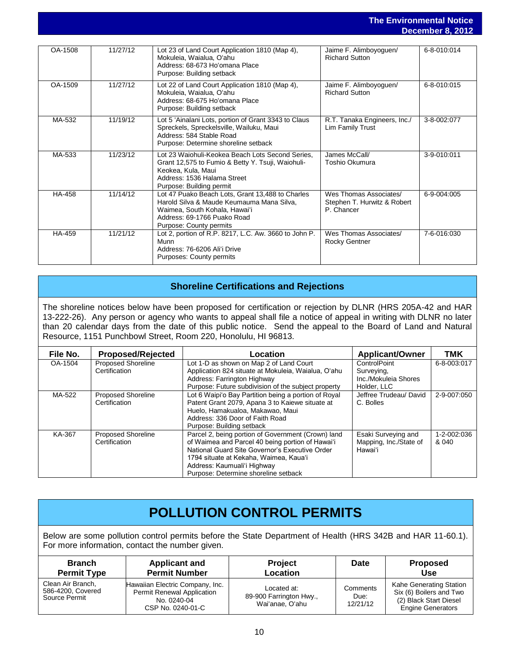### **The Environmental Notice December 8, 2012**

|               |          |                                                                                                                                                                                          |                                                                     | Deceniber 6, ZUTZ |
|---------------|----------|------------------------------------------------------------------------------------------------------------------------------------------------------------------------------------------|---------------------------------------------------------------------|-------------------|
|               |          |                                                                                                                                                                                          |                                                                     |                   |
| OA-1508       | 11/27/12 | Lot 23 of Land Court Application 1810 (Map 4),<br>Mokuleia, Waialua, O'ahu<br>Address: 68-673 Ho'omana Place<br>Purpose: Building setback                                                | Jaime F. Alimboyoguen/<br><b>Richard Sutton</b>                     | 6-8-010:014       |
| OA-1509       | 11/27/12 | Lot 22 of Land Court Application 1810 (Map 4),<br>Mokuleia, Waialua, O'ahu<br>Address: 68-675 Ho'omana Place<br>Purpose: Building setback                                                | Jaime F. Alimboyoguen/<br><b>Richard Sutton</b>                     | 6-8-010:015       |
| MA-532        | 11/19/12 | Lot 5 'Ainalani Lots, portion of Grant 3343 to Claus<br>Spreckels, Spreckelsville, Wailuku, Maui<br>Address: 584 Stable Road<br>Purpose: Determine shoreline setback                     | R.T. Tanaka Engineers, Inc./<br>Lim Family Trust                    | 3-8-002:077       |
| MA-533        | 11/23/12 | Lot 23 Waiohuli-Keokea Beach Lots Second Series,<br>Grant 12,575 to Fumio & Betty Y. Tsuji, Waiohuli-<br>Keokea, Kula, Maui<br>Address: 1536 Halama Street<br>Purpose: Building permit   | James McCall/<br>Toshio Okumura                                     | 3-9-010:011       |
| <b>HA-458</b> | 11/14/12 | Lot 47 Puako Beach Lots, Grant 13,488 to Charles<br>Harold Silva & Maude Keumauma Mana Silva,<br>Waimea, South Kohala, Hawai'i<br>Address: 69-1766 Puako Road<br>Purpose: County permits | Wes Thomas Associates/<br>Stephen T. Hurwitz & Robert<br>P. Chancer | 6-9-004:005       |
| HA-459        | 11/21/12 | Lot 2, portion of R.P. 8217, L.C. Aw. 3660 to John P.<br>Munn<br>Address: 76-6206 Ali'i Drive<br><b>Purposes: County permits</b>                                                         | Wes Thomas Associates/<br>Rocky Gentner                             | 7-6-016:030       |

## **Shoreline Certifications and Rejections**

The shoreline notices below have been proposed for certification or rejection by DLNR (HRS 205A-42 and HAR 13-222-26). Any person or agency who wants to appeal shall file a notice of appeal in writing with DLNR no later than 20 calendar days from the date of this public notice. Send the appeal to the Board of Land and Natural Resource, 1151 Punchbowl Street, Room 220, Honolulu, HI 96813.

| File No. | <b>Proposed/Rejected</b>  | Location                                             | <b>Applicant/Owner</b> | <b>TMK</b>  |
|----------|---------------------------|------------------------------------------------------|------------------------|-------------|
| OA-1504  | <b>Proposed Shoreline</b> | Lot 1-D as shown on Map 2 of Land Court              | ControlPoint           | 6-8-003:017 |
|          | Certification             | Application 824 situate at Mokuleia, Waialua, O'ahu  | Surveying,             |             |
|          |                           | Address: Farrington Highway                          | Inc./Mokuleia Shores   |             |
|          |                           | Purpose: Future subdivision of the subject property  | Holder, LLC            |             |
| MA-522   | <b>Proposed Shoreline</b> | Lot 6 Waipi'o Bay Partition being a portion of Royal | Jeffree Trudeau/ David | 2-9-007:050 |
|          | Certification             | Patent Grant 2079, Apana 3 to Kaiewe situate at      | C. Bolles              |             |
|          |                           | Huelo, Hamakualoa, Makawao, Maui                     |                        |             |
|          |                           | Address: 336 Door of Faith Road                      |                        |             |
|          |                           | Purpose: Building setback                            |                        |             |
| KA-367   | <b>Proposed Shoreline</b> | Parcel 2, being portion of Government (Crown) land   | Esaki Surveying and    | 1-2-002:036 |
|          | Certification             | of Waimea and Parcel 40 being portion of Hawai'i     | Mapping, Inc./State of | & 040       |
|          |                           | National Guard Site Governor's Executive Order       | Hawai'i                |             |
|          |                           | 1794 situate at Kekaha, Waimea, Kaua'i               |                        |             |
|          |                           | Address: Kaumuali'i Highway                          |                        |             |
|          |                           | Purpose: Determine shoreline setback                 |                        |             |

## **POLLUTION CONTROL PERMITS**

Below are some pollution control permits before the State Department of Health (HRS 342B and HAR 11-60.1). For more information, contact the number given.

| <b>Branch</b>                                           | <b>Applicant and</b>                                                                              | <b>Project</b>                                            | Date                         | <b>Proposed</b>                                                                                          |
|---------------------------------------------------------|---------------------------------------------------------------------------------------------------|-----------------------------------------------------------|------------------------------|----------------------------------------------------------------------------------------------------------|
| <b>Permit Type</b>                                      | <b>Permit Number</b>                                                                              | Location                                                  |                              | <b>Use</b>                                                                                               |
| Clean Air Branch,<br>586-4200, Covered<br>Source Permit | Hawaiian Electric Company, Inc.<br>Permit Renewal Application<br>No. 0240-04<br>CSP No. 0240-01-C | Located at:<br>89-900 Farrington Hwy.,<br>Wai'anae, O'ahu | Comments<br>Due:<br>12/21/12 | Kahe Generating Station<br>Six (6) Boilers and Two<br>(2) Black Start Diesel<br><b>Engine Generators</b> |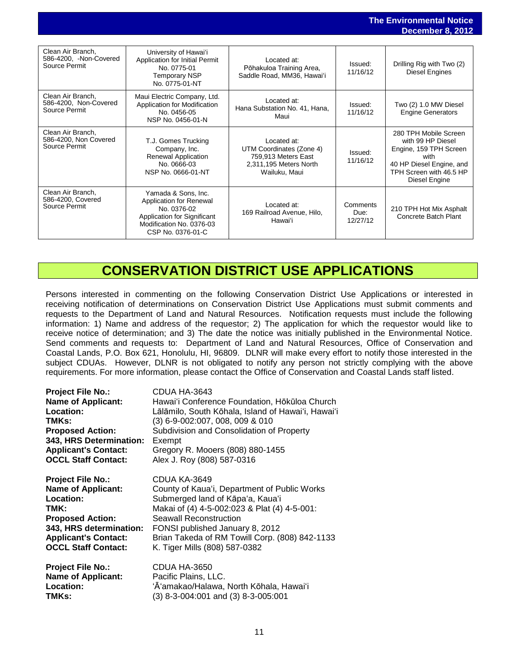### **The Environmental Notice December 8, 2012**

|                                                              |                                                                                                                                               |                                                                                                           |                              | December 0, 2012                                                                                                                                     |
|--------------------------------------------------------------|-----------------------------------------------------------------------------------------------------------------------------------------------|-----------------------------------------------------------------------------------------------------------|------------------------------|------------------------------------------------------------------------------------------------------------------------------------------------------|
| Clean Air Branch,<br>586-4200, -Non-Covered<br>Source Permit | University of Hawai'i<br>Application for Initial Permit<br>No. 0775-01<br>Temporary NSP<br>No. 0775-01-NT                                     | Located at:<br>Pōhakuloa Training Area,<br>Saddle Road, MM36, Hawai'i                                     | Issued:<br>11/16/12          | Drilling Rig with Two (2)<br>Diesel Engines                                                                                                          |
| Clean Air Branch,<br>586-4200, Non-Covered<br>Source Permit  | Maui Electric Company, Ltd.<br>Application for Modification<br>No. 0456-05<br>NSP No. 0456-01-N                                               | Located at:<br>Hana Substation No. 41, Hana,<br>Maui                                                      | Issued:<br>11/16/12          | Two (2) 1.0 MW Diesel<br><b>Engine Generators</b>                                                                                                    |
| Clean Air Branch,<br>586-4200, Non Covered<br>Source Permit  | T.J. Gomes Trucking<br>Company, Inc.<br>Renewal Application<br>No. 0666-03<br>NSP No. 0666-01-NT                                              | Located at:<br>UTM Coordinates (Zone 4)<br>759,913 Meters East<br>2,311,195 Meters North<br>Wailuku, Maui | Issued:<br>11/16/12          | 280 TPH Mobile Screen<br>with 99 HP Diesel<br>Engine, 159 TPH Screen<br>with<br>40 HP Diesel Engine, and<br>TPH Screen with 46.5 HP<br>Diesel Engine |
| Clean Air Branch,<br>586-4200, Covered<br>Source Permit      | Yamada & Sons, Inc.<br>Application for Renewal<br>No. 0376-02<br>Application for Significant<br>Modification No. 0376-03<br>CSP No. 0376-01-C | Located at:<br>169 Railroad Avenue, Hilo,<br>Hawai'i                                                      | Comments<br>Due:<br>12/27/12 | 210 TPH Hot Mix Asphalt<br>Concrete Batch Plant                                                                                                      |

## **CONSERVATION DISTRICT USE APPLICATIONS**

Persons interested in commenting on the following Conservation District Use Applications or interested in receiving notification of determinations on Conservation District Use Applications must submit comments and requests to the Department of Land and Natural Resources. Notification requests must include the following information: 1) Name and address of the requestor; 2) The application for which the requestor would like to receive notice of determination; and 3) The date the notice was initially published in the Environmental Notice. Send comments and requests to: Department of Land and Natural Resources, Office of Conservation and Coastal Lands, P.O. Box 621, Honolulu, HI, 96809. DLNR will make every effort to notify those interested in the subject CDUAs. However, DLNR is not obligated to notify any person not strictly complying with the above requirements. For more information, please contact the Office of Conservation and Coastal Lands staff listed.

| <b>Project File No.:</b>    | CDUA HA-3643                                       |
|-----------------------------|----------------------------------------------------|
| <b>Name of Applicant:</b>   | Hawai'i Conference Foundation, Hōkūloa Church      |
| Location:                   | Lālāmilo, South Kōhala, Island of Hawai'i, Hawai'i |
| TMKs:                       | (3) 6-9-002:007, 008, 009 & 010                    |
| <b>Proposed Action:</b>     | Subdivision and Consolidation of Property          |
| 343, HRS Determination:     | Exempt                                             |
| <b>Applicant's Contact:</b> | Gregory R. Mooers (808) 880-1455                   |
| <b>OCCL Staff Contact:</b>  | Alex J. Roy (808) 587-0316                         |
|                             |                                                    |
| <b>Project File No.:</b>    | CDUA KA-3649                                       |
| <b>Name of Applicant:</b>   | County of Kaua'i, Department of Public Works       |
| Location:                   | Submerged land of Kāpa'a, Kaua'i                   |
| TMK:                        | Makai of (4) 4-5-002:023 & Plat (4) 4-5-001:       |
| <b>Proposed Action:</b>     | Seawall Reconstruction                             |
| 343, HRS determination:     | FONSI published January 8, 2012                    |
| <b>Applicant's Contact:</b> | Brian Takeda of RM Towill Corp. (808) 842-1133     |
| <b>OCCL Staff Contact:</b>  | K. Tiger Mills (808) 587-0382                      |
| <b>Project File No.:</b>    | CDUA HA-3650                                       |
| <b>Name of Applicant:</b>   | Pacific Plains, LLC.                               |
| Location:                   | 'Ā'amakao/Halawa, North Kōhala, Hawai'i            |
| TMKs:                       |                                                    |
|                             | (3) 8-3-004:001 and (3) 8-3-005:001                |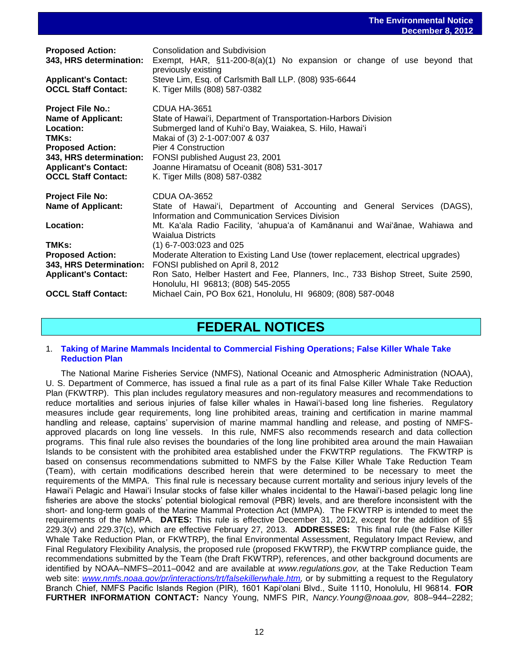|                                                                                                                                                                                                | December 0, ZUTZ                                                                                                                                                                                                                                                                                                                                                                                                                                                                                                                                                                                      |
|------------------------------------------------------------------------------------------------------------------------------------------------------------------------------------------------|-------------------------------------------------------------------------------------------------------------------------------------------------------------------------------------------------------------------------------------------------------------------------------------------------------------------------------------------------------------------------------------------------------------------------------------------------------------------------------------------------------------------------------------------------------------------------------------------------------|
| <b>Proposed Action:</b><br>343, HRS determination:<br><b>Applicant's Contact:</b><br><b>OCCL Staff Contact:</b>                                                                                | Consolidation and Subdivision<br>Exempt, HAR, $\S$ 11-200-8(a)(1) No expansion or change of use beyond that<br>previously existing<br>Steve Lim, Esq. of Carlsmith Ball LLP. (808) 935-6644<br>K. Tiger Mills (808) 587-0382                                                                                                                                                                                                                                                                                                                                                                          |
| <b>Project File No.:</b><br><b>Name of Applicant:</b><br>Location:<br>TMKs:<br><b>Proposed Action:</b><br>343, HRS determination:<br><b>Applicant's Contact:</b><br><b>OCCL Staff Contact:</b> | CDUA HA-3651<br>State of Hawai'i, Department of Transportation-Harbors Division<br>Submerged land of Kuhi'o Bay, Waiakea, S. Hilo, Hawai'i<br>Makai of (3) 2-1-007:007 & 037<br>Pier 4 Construction<br>FONSI published August 23, 2001<br>Joanne Hiramatsu of Oceanit (808) 531-3017<br>K. Tiger Mills (808) 587-0382                                                                                                                                                                                                                                                                                 |
| <b>Project File No:</b><br><b>Name of Applicant:</b><br>Location:<br>TMKs:<br><b>Proposed Action:</b><br>343, HRS Determination:<br><b>Applicant's Contact:</b><br><b>OCCL Staff Contact:</b>  | CDUA OA-3652<br>State of Hawai'i, Department of Accounting and General Services (DAGS),<br>Information and Communication Services Division<br>Mt. Ka'ala Radio Facility, 'ahupua'a of Kamānanui and Wai'ānae, Wahiawa and<br><b>Waialua Districts</b><br>$(1)$ 6-7-003:023 and 025<br>Moderate Alteration to Existing Land Use (tower replacement, electrical upgrades)<br>FONSI published on April 8, 2012<br>Ron Sato, Helber Hastert and Fee, Planners, Inc., 733 Bishop Street, Suite 2590,<br>Honolulu, HI 96813; (808) 545-2055<br>Michael Cain, PO Box 621, Honolulu, HI 96809; (808) 587-0048 |
|                                                                                                                                                                                                |                                                                                                                                                                                                                                                                                                                                                                                                                                                                                                                                                                                                       |

## **FEDERAL NOTICES**

### 1. **[Taking of Marine Mammals Incidental to Commercial Fishing Operations; False Killer Whale Take](http://www.gpo.gov/fdsys/pkg/FR-2012-11-29/pdf/2012-28750.pdf)  [Reduction Plan](http://www.gpo.gov/fdsys/pkg/FR-2012-11-29/pdf/2012-28750.pdf)**

The National Marine Fisheries Service (NMFS), National Oceanic and Atmospheric Administration (NOAA), U. S. Department of Commerce, has issued a final rule as a part of its final False Killer Whale Take Reduction Plan (FKWTRP). This plan includes regulatory measures and non-regulatory measures and recommendations to reduce mortalities and serious injuries of false killer whales in Hawai'i-based long line fisheries. Regulatory measures include gear requirements, long line prohibited areas, training and certification in marine mammal handling and release, captains' supervision of marine mammal handling and release, and posting of NMFSapproved placards on long line vessels. In this rule, NMFS also recommends research and data collection programs. This final rule also revises the boundaries of the long line prohibited area around the main Hawaiian Islands to be consistent with the prohibited area established under the FKWTRP regulations. The FKWTRP is based on consensus recommendations submitted to NMFS by the False Killer Whale Take Reduction Team (Team), with certain modifications described herein that were determined to be necessary to meet the requirements of the MMPA. This final rule is necessary because current mortality and serious injury levels of the Hawai'i Pelagic and Hawai'i Insular stocks of false killer whales incidental to the Hawai'i-based pelagic long line fisheries are above the stocks' potential biological removal (PBR) levels, and are therefore inconsistent with the short- and long-term goals of the Marine Mammal Protection Act (MMPA). The FKWTRP is intended to meet the requirements of the MMPA. **DATES:** This rule is effective December 31, 2012, except for the addition of §§ 229.3(v) and 229.37(c), which are effective February 27, 2013. **ADDRESSES:** This final rule (the False Killer Whale Take Reduction Plan, or FKWTRP), the final Environmental Assessment, Regulatory Impact Review, and Final Regulatory Flexibility Analysis, the proposed rule (proposed FKWTRP), the FKWTRP compliance guide, the recommendations submitted by the Team (the Draft FKWTRP), references, and other background documents are identified by NOAA–NMFS–2011–0042 and are available at *www.regulations.gov,* at the Take Reduction Team web site: [www.nmfs.noaa.gov/pr/interactions/trt/falsekillerwhale.htm,](http://www.nmfs.noaa.gov/pr/interactions/trt/falsekillerwhale.htm) or by submitting a request to the Regulatory Branch Chief, NMFS Pacific Islands Region (PIR), 1601 Kapi'olani Blvd., Suite 1110, Honolulu, HI 96814. **FOR FURTHER INFORMATION CONTACT:** Nancy Young, NMFS PIR, *Nancy.Young@noaa.gov,* 808–944–2282;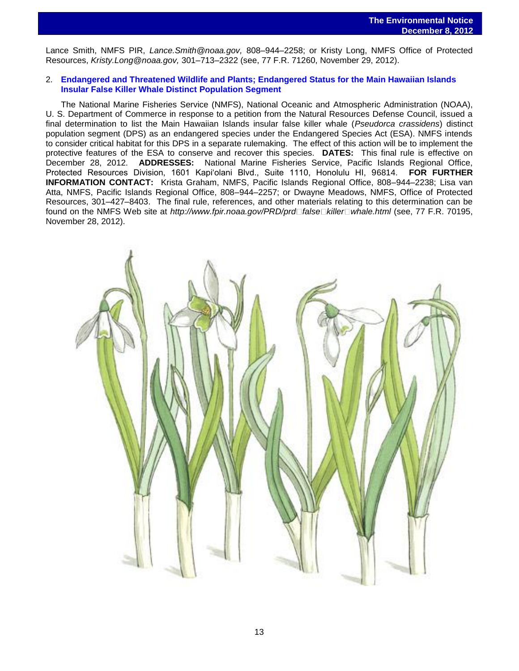Lance Smith, NMFS PIR, *Lance.Smith@noaa.gov,* 808–944–2258; or Kristy Long, NMFS Office of Protected Resources, *Kristy.Long@noaa.gov,* 301–713–2322 (see, 77 F.R. 71260, November 29, 2012).

### 2. **[Endangered and Threatened Wildlife and Plants; Endangered Status for the Main Hawaiian Islands](http://www.gpo.gov/fdsys/pkg/FR-2012-11-28/pdf/2012-28766.pdf)  [Insular False Killer Whale Distinct Population Segment](http://www.gpo.gov/fdsys/pkg/FR-2012-11-28/pdf/2012-28766.pdf)**

The National Marine Fisheries Service (NMFS), National Oceanic and Atmospheric Administration (NOAA), U. S. Department of Commerce in response to a petition from the Natural Resources Defense Council, issued a final determination to list the Main Hawaiian Islands insular false killer whale (*Pseudorca crassidens*) distinct population segment (DPS) as an endangered species under the Endangered Species Act (ESA). NMFS intends to consider critical habitat for this DPS in a separate rulemaking. The effect of this action will be to implement the protective features of the ESA to conserve and recover this species. **DATES:** This final rule is effective on December 28, 2012. **ADDRESSES:** National Marine Fisheries Service, Pacific Islands Regional Office, Protected Resources Division, 1601 Kapi'olani Blvd., Suite 1110, Honolulu HI, 96814. **FOR FURTHER INFORMATION CONTACT:** Krista Graham, NMFS, Pacific Islands Regional Office, 808–944–2238; Lisa van Atta, NMFS, Pacific Islands Regional Office, 808–944–2257; or Dwayne Meadows, NMFS, Office of Protected Resources, 301–427–8403. The final rule, references, and other materials relating to this determination can be found on the NMFS Web site at *http://www.fpir.noaa.gov/PRD/prd false* killer whale.html (see, 77 F.R. 70195, November 28, 2012).